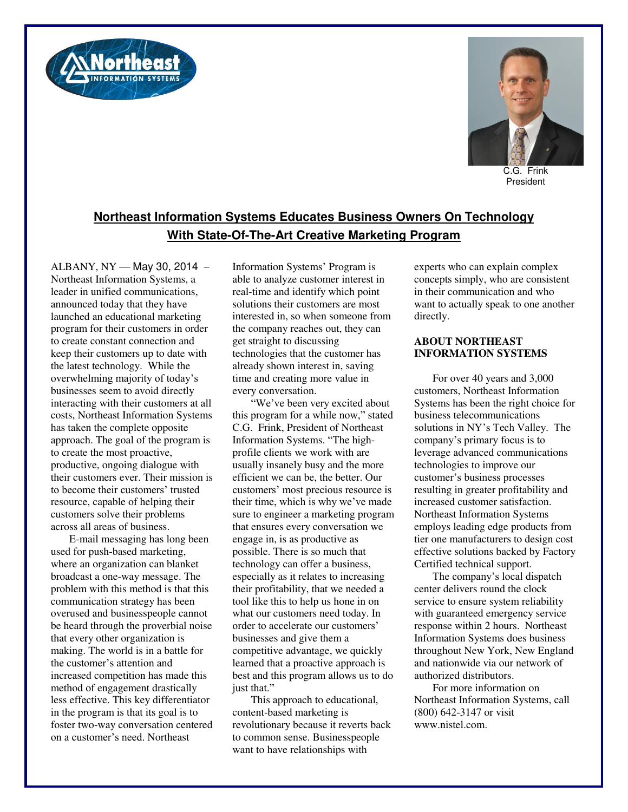



C.G. Frink President

## **Northeast Information Systems Educates Business Owners On Technology With State-Of-The-Art Creative Marketing Program**

ALBANY, NY — May 30, 2014 – Northeast Information Systems, a leader in unified communications, announced today that they have launched an educational marketing program for their customers in order to create constant connection and keep their customers up to date with the latest technology. While the overwhelming majority of today's businesses seem to avoid directly interacting with their customers at all costs, Northeast Information Systems has taken the complete opposite approach. The goal of the program is to create the most proactive, productive, ongoing dialogue with their customers ever. Their mission is to become their customers' trusted resource, capable of helping their customers solve their problems across all areas of business.

E-mail messaging has long been used for push-based marketing, where an organization can blanket broadcast a one-way message. The problem with this method is that this communication strategy has been overused and businesspeople cannot be heard through the proverbial noise that every other organization is making. The world is in a battle for the customer's attention and increased competition has made this method of engagement drastically less effective. This key differentiator in the program is that its goal is to foster two-way conversation centered on a customer's need. Northeast

Information Systems' Program is able to analyze customer interest in real-time and identify which point solutions their customers are most interested in, so when someone from the company reaches out, they can get straight to discussing technologies that the customer has already shown interest in, saving time and creating more value in every conversation.

"We've been very excited about this program for a while now," stated C.G. Frink, President of Northeast Information Systems. "The highprofile clients we work with are usually insanely busy and the more efficient we can be, the better. Our customers' most precious resource is their time, which is why we've made sure to engineer a marketing program that ensures every conversation we engage in, is as productive as possible. There is so much that technology can offer a business, especially as it relates to increasing their profitability, that we needed a tool like this to help us hone in on what our customers need today. In order to accelerate our customers' businesses and give them a competitive advantage, we quickly learned that a proactive approach is best and this program allows us to do just that."

This approach to educational, content-based marketing is revolutionary because it reverts back to common sense. Businesspeople want to have relationships with

experts who can explain complex concepts simply, who are consistent in their communication and who want to actually speak to one another directly.

## **ABOUT NORTHEAST INFORMATION SYSTEMS**

For over 40 years and 3,000 customers, Northeast Information Systems has been the right choice for business telecommunications solutions in NY's Tech Valley. The company's primary focus is to leverage advanced communications technologies to improve our customer's business processes resulting in greater profitability and increased customer satisfaction. Northeast Information Systems employs leading edge products from tier one manufacturers to design cost effective solutions backed by Factory Certified technical support.

The company's local dispatch center delivers round the clock service to ensure system reliability with guaranteed emergency service response within 2 hours. Northeast Information Systems does business throughout New York, New England and nationwide via our network of authorized distributors.

For more information on Northeast Information Systems, call (800) 642-3147 or visit www.nistel.com.